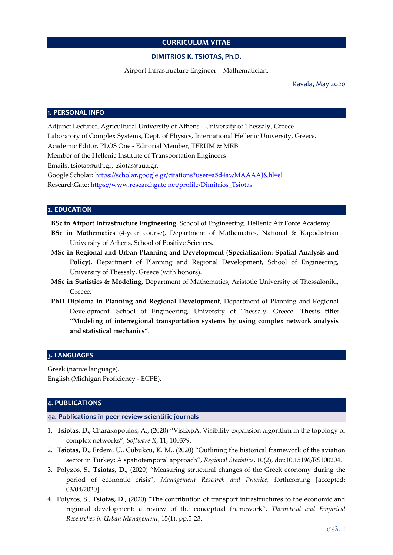# **CURRICULUM VITAE**

### **DIMITRIOS Κ. TSIOTAS, Ph.D.**

Airport Infrastructure Engineer – Mathematician,

Kavala, May 2020

## **1. PERSONAL INFO**

Adjunct Lecturer, Agricultural University of Athens - University of Thessaly, Greece Laboratory of Complex Systems, Dept. of Physics, International Hellenic University, Greece. Academic Editor, PLOS One - Editorial Member, TERUM & MRB. Member of the Hellenic Institute of Transportation Engineers Emails: tsiotas@uth.gr; tsiotas@aua.gr.

Google Scholar: https://scholar.google.gr/citations?user=a5d4awMAAAAJ&hl=el ResearchGate: https://www.researchgate.net/profile/Dimitrios\_Tsiotas

## **2. EDUCATION**

**BSc in Airport Infrastructure Engineering**, School of Engineering, Hellenic Air Force Academy.

- **BSc in Mathematics** (4-year course), Department of Mathematics, National & Kapodistrian University of Athens, School of Positive Sciences.
- **MSc in Regional and Urban Planning and Development** (**Specialization: Spatial Analysis and Policy)**, Department of Planning and Regional Development, School of Engineering, University of Thessaly, Greece (with honors).
- **MSc in Statistics & Modeling,** Department of Mathematics, Aristotle University of Thessaloniki, Greece.
- **PhD Diploma in Planning and Regional Development**, Department of Planning and Regional Development, School of Engineering, University of Thessaly, Greece. **Thesis title: "Modeling of interregional transportation systems by using complex network analysis and statistical mechanics"**.

#### **3. LANGUAGES**

Greek (native language). English (Michigan Proficiency - ECPE).

## **4. PUBLICATIONS**

#### **4a. Publications in peer-review scientific journals**

- 1. **Tsiotas, D.,** Charakopoulos, A., (2020) "VisExpA: Visibility expansion algorithm in the topology of complex networks", *Software X*, 11, 100379.
- 2. **Tsiotas, D.,** Erdem, U., Cubukcu, K. M., (2020) "Outlining the historical framework of the aviation sector in Turkey; A spatiotemporal approach", *Regional Statistics*, 10(2), doi:10.15196/RS100204.
- 3. Polyzos, S., **Tsiotas, D.,** (2020) "Measuring structural changes of the Greek economy during the period of economic crisis", *Management Research and Practice*, forthcoming [accepted: 03/04/2020].
- 4. Polyzos, S., **Tsiotas, D.,** (2020) "The contribution of transport infrastructures to the economic and regional development: a review of the conceptual framework", *Theoretical and Empirical Researches in Urban Management*, 15(1), pp.5-23.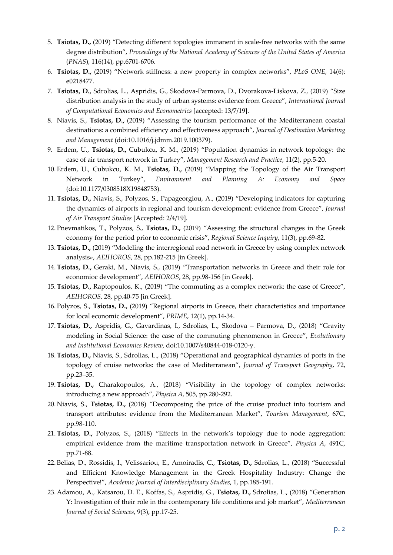- 5. **Tsiotas, D.,** (2019) "Detecting different topologies immanent in scale-free networks with the same degree distribution", *Proceedings of the National Academy of Sciences of the United States of America*  (*PNAS*), 116(14), pp.6701-6706.
- 6. **Tsiotas, D.,** (2019) "Network stiffness: a new property in complex networks", *PLoS ONE*, 14(6): e0218477.
- 7. **Tsiotas, D.,** Sdrolias, L., Aspridis, G., Skodova-Parmova, D., Dvorakova-Liskova, Z., (2019) "Size distribution analysis in the study of urban systems: evidence from Greece", *International Journal of Computational Economics and Econometrics* [accepted: 13/7/19].
- 8. Niavis, S., **Tsiotas, D.,** (2019) "Assessing the tourism performance of the Mediterranean coastal destinations: a combined efficiency and effectiveness approach", *Journal of Destination Marketing and Management* (doi:10.1016/j.jdmm.2019.100379).
- 9. Erdem, U., **Tsiotas, D.,** Cubukcu, K. M., (2019) "Population dynamics in network topology: the case of air transport network in Turkey", *Management Research and Practice*, 11(2), pp.5-20.
- 10. Erdem, U., Cubukcu, K. M., **Tsiotas, D.,** (2019) "Mapping the Topology of the Air Transport Network in Turkey", *Environment and Planning A: Economy and Space*  (doi:10.1177/0308518X19848753).
- 11. **Tsiotas, D.,** Niavis, S., Polyzos, S., Papageorgiou, A., (2019) "Developing indicators for capturing the dynamics of airports in regional and tourism development: evidence from Greece", *Journal of Air Transport Studies* [Accepted: 2/4/19].
- 12. Pnevmatikos, T., Polyzos, S., **Tsiotas, D.,** (2019) "Assessing the structural changes in the Greek economy for the period prior to economic crisis", *Regional Science Inquiry*, 11(3), pp.69-82.
- 13. **Tsiotas, D.,** (2019) "Modeling the interregional road network in Greece by using complex network analysis», *AEIHOROS*, 28, pp.182-215 [in Greek].
- 14. **Tsiotas, D.,** Geraki, M., Niavis, S., (2019) "Transportation networks in Greece and their role for economioc development", *AEIHOROS*, 28, pp.98-156 [in Greek].
- 15. **Tsiotas, D.,** Raptopoulos, K., (2019) "The commuting as a complex network: the case of Greece", *AEIHOROS*, 28, pp.40-75 [in Greek].
- 16. Polyzos, S., **Tsiotas, D.,** (2019) "Regional airports in Greece, their characteristics and importance for local economic development", *PRIME*, 12(1), pp.14-34.
- 17. **Tsiotas, D.,** Aspridis, G., Gavardinas, I., Sdrolias, L., Skodova Parmova, D., (2018) "Gravity modeling in Social Science: the case of the commuting phenomenon in Greece", *Evolutionary and Institutional Economics Review*, doi:10.1007/s40844-018-0120-y.
- 18. **Tsiotas, D.,** Niavis, S., Sdrolias, L., (2018) "Operational and geographical dynamics of ports in the topology of cruise networks: the case of Mediterranean", *Journal of Transport Geography*, 72, pp.23–35.
- 19. **Tsiotas, D.,** Charakopoulos, A., (2018) "Visibility in the topology of complex networks: introducing a new approach", *Physica Α*, 505, pp.280-292.
- 20. Niavis, S., **Tsiotas, D.,** (2018) "Decomposing the price of the cruise product into tourism and transport attributes: evidence from the Mediterranean Market", *Tourism Management*, 67C, pp.98-110.
- 21. **Tsiotas, D.,** Polyzos, S., (2018) "Effects in the network's topology due to node aggregation: empirical evidence from the maritime transportation network in Greece", *Physica A*, 491C, pp.71-88.
- 22. Belias, D., Rossidis, I., Velissariou, E., Amoiradis, C., **Tsiotas, D.,** Sdrolias, L., (2018) "Successful and Efficient Knowledge Management in the Greek Hospitality Industry: Change the Perspective!", *Academic Journal of Interdisciplinary Studies*, 1, pp.185-191.
- 23. Adamou, A., Katsarou, D. E., Koffas, S., Aspridis, G., **Tsiotas, D.,** Sdrolias, L., (2018) "Generation Y: Investigation of their role in the contemporary life conditions and job market", *Mediterranean Journal of Social Sciences*, 9(3), pp.17-25.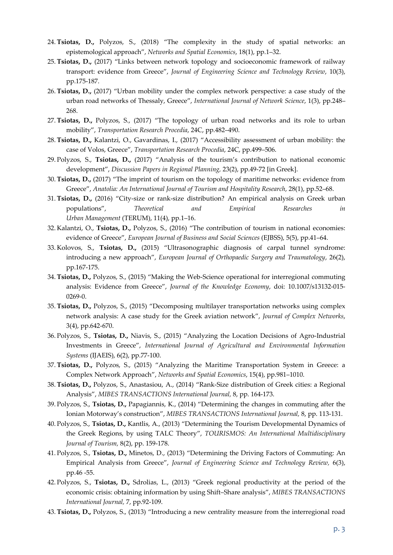- 24. **Tsiotas, D.,** Polyzos, S., (2018) "The complexity in the study of spatial networks: an epistemological approach", *Networks and Spatial Economics*, 18(1), pp.1–32.
- 25. **Tsiotas, D.,** (2017) "Links between network topology and socioeconomic framework of railway transport: evidence from Greece", *Journal of Engineering Science and Technology Review*, 10(3), pp.175-187.
- 26. **Tsiotas, D.,** (2017) "Urban mobility under the complex network perspective: a case study of the urban road networks of Thessaly, Greece", *International Journal of Network Science*, 1(3), pp.248– 268.
- 27. **Tsiotas, D.,** Polyzos, S., (2017) "The topology of urban road networks and its role to urban mobility", *Transportation Research Procedia*, 24C, pp.482–490.
- 28. **Tsiotas, D.,** Kalantzi, O., Gavardinas, I., (2017) "Accessibility assessment of urban mobility: the case of Volos, Greece", *Transportation Research Procedia*, 24C, pp.499–506.
- 29. Polyzos, S., **Tsiotas, D.,** (2017) "Analysis of the tourism's contribution to national economic development", *Discussion Papers in Regional Planning,* 23(2), pp.49-72 [in Greek].
- 30. **Tsiotas, D.,** (2017) "The imprint of tourism on the topology of maritime networks: evidence from Greece", *Anatolia: An International Journal of Tourism and Hospitality Research*, 28(1), pp.52–68.
- 31. **Tsiotas, D.,** (2016) "City-size or rank-size distribution? An empirical analysis on Greek urban populations", *Theoretical and Empirical Researches in Urban Management* (TERUM), 11(4), pp.1–16.
- 32. Kalantzi, O., **Tsiotas, D.,** Polyzos, S., (2016) "The contribution of tourism in national economies: evidence of Greece", *European Journal of Business and Social Sciences* (EJBSS), 5(5), pp.41–64.
- 33. Kolovos, S., **Tsiotas, D.,** (2015) "Ultrasonographic diagnosis of carpal tunnel syndrome: introducing a new approach", *European Journal of Orthopaedic Surgery and Traumatology*, 26(2), pp.167-175.
- 34. **Tsiotas, D.,** Polyzos, S., (2015) "Making the Web-Science operational for interregional commuting analysis: Evidence from Greece", *Journal of the Knowledge Economy*, doi: 10.1007/s13132-015- 0269-0.
- 35. **Tsiotas, D.,** Polyzos, S., (2015) "Decomposing multilayer transportation networks using complex network analysis: A case study for the Greek aviation network", *Journal of Complex Networks*, 3(4), pp.642-670.
- 36. Polyzos, S., **Tsiotas, D.,** Niavis, S., (2015) "Analyzing the Location Decisions of Agro-Industrial Investments in Greece", *International Journal of Agricultural and Environmental Information Systems* (IJAEIS), 6(2), pp.77-100.
- 37. **Tsiotas, D.,** Polyzos, S., (2015) "Analyzing the Maritime Transportation System in Greece: a Complex Network Approach", *Networks and Spatial Economics*, 15(4), pp.981–1010.
- 38. **Tsiotas, D.,** Polyzos, S., Anastasiou, A., (2014) "Rank-Size distribution of Greek cities: a Regional Analysis", *MIBES TRANSACTIONS International Journal,* 8, pp. 164-173.
- 39. Polyzos, S., **Tsiotas, D.,** Papagiannis, K., (2014) "Determining the changes in commuting after the Ionian Motorway's construction", *MIBES TRANSACTIONS International Journal,* 8, pp. 113-131.
- 40. Polyzos, S., **Tsiotas, D.,** Kantlis, A., (2013) "Determining the Tourism Developmental Dynamics of the Greek Regions, by using TALC Theory", *TOURISMOS: An International Multidisciplinary Journal of Tourism,* 8(2), pp. 159-178.
- 41. Polyzos, S., **Tsiotas, D.,** Minetos, D., (2013) "Determining the Driving Factors of Commuting: An Empirical Analysis from Greece", *Journal of Engineering Science and Technology Review,* 6(3), pp.46 -55.
- 42. Polyzos, S., **Tsiotas, D.,** Sdrolias, L., (2013) "Greek regional productivity at the period of the economic crisis: obtaining information by using Shift–Share analysis", *MIBES TRANSACTIONS International Journal,* 7, pp.92-109.
- 43. **Tsiotas, D.,** Polyzos, S., (2013) "Introducing a new centrality measure from the interregional road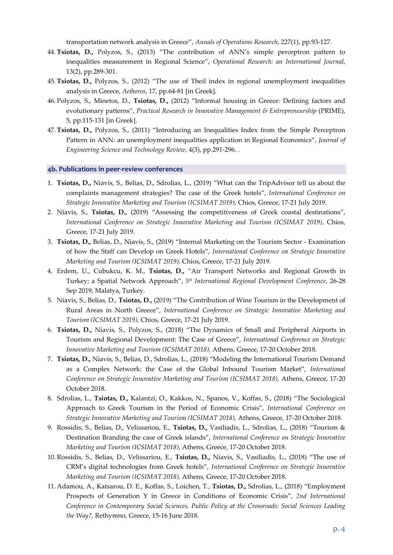transportation network analysis in Greece", *Annals of Operations Research*, 227(1), pp.93-127.

- 44. **Tsiotas, D.,** Polyzos, S., (2013) "The contribution of ANN's simple perceptron pattern to inequalities measurement in Regional Science", *Operational Research: an International Journal*, 13(2), pp.289-301.
- 45. **Tsiotas, D.,** Polyzos, S., (2012) "The use of Theil index in regional unemployment inequalities analysis in Greece, *Aeihoros*, 17, pp.64-81 [in Greek].
- 46. Polyzos, S., Minetos, D., **Tsiotas, D.,** (2012) "Informal housing in Greece: Defining factors and evolutionary patterns", *Practical Research in Innovative Management & Entrepreneurship* (PRIME), 5, pp.115-131 [in Greek].
- 47. **Tsiotas, D.,** Polyzos, S., (2011) "Introducing an Inequalities Index from the Simple Perceptron Pattern in ANN: an unemployment inequalities application in Regional Economics", *Journal of Engineering Science and Technology Review*, 4(3), pp.291-296. .

#### **4b. Publications in peer-review conferences**

- 1. **Tsiotas, D.,** Niavis, S., Belias, D., Sdrolias, L., (2019) "What can the TripAdvisor tell us about the complaints management strategies? The case of the Greek hotels", *International Conference on Strategic Innovative Marketing and Tourism (ICSIMAT 2019),* Chios, Greece, 17-21 July 2019.
- 2. Niavis, S., **Tsiotas, D.,** (2019) "Assessing the competitiveness of Greek coastal destinations", *International Conference on Strategic Innovative Marketing and Tourism (ICSIMAT 2019),* Chios, Greece, 17-21 July 2019.
- 3. **Tsiotas, D.,** Belias, D., Niavis, S., (2019) "Internal Marketing on the Tourism Sector Examination of how the Staff can Develop on Greek Hotels", *International Conference on Strategic Innovative Marketing and Tourism (ICSIMAT 2019),* Chios, Greece, 17-21 July 2019.
- 4. Erdem, U., Cubukcu, K. M., **Tsiotas, D.,** "Air Transport Networks and Regional Growth in Turkey; a Spatial Network Approach", *5th International Regional Development Conference*, 26-28 Sep 2019, Malatya, Turkey.
- 5. Niavis, S., Belias, D., **Tsiotas, D.,** (2019) "The Contribution of Wine Tourism in the Development of Rural Areas in North Greece", *International Conference on Strategic Innovative Marketing and Tourism (ICSIMAT 2019),* Chios, Greece, 17-21 July 2019.
- 6. **Tsiotas, D.,** Niavis, S., Polyzos, S., (2018) "The Dynamics of Small and Peripheral Airports in Tourism and Regional Development: The Case of Greece", *International Conference on Strategic Innovative Marketing and Tourism (ICSIMAT 2018),* Athens, Greece, 17-20 October 2018.
- 7. **Tsiotas, D.,** Niavis, S., Belias, D., Sdrolias, L., (2018) "Modeling the International Tourism Demand as a Complex Network: the Case of the Global Inbound Tourism Market", *International Conference on Strategic Innovative Marketing and Tourism (ICSIMAT 2018),* Athens, Greece, 17-20 October 2018.
- 8. Sdrolias, L., **Tsiotas, D.,** Kalantzi, O., Kakkos, N., Spanos, V., Koffas, S., (2018) "The Sociological Approach to Greek Tourism in the Period of Economic Crisis", *International Conference on Strategic Innovative Marketing and Tourism (ICSIMAT 2018),* Athens, Greece, 17-20 October 2018.
- 9. Rossidis, S., Belias, D., Velissariou, E., **Tsiotas, D.,** Vasiliadis, L., Sdrolias, L., (2018) "Tourism & Destination Branding the case of Greek islands", *International Conference on Strategic Innovative Marketing and Tourism (ICSIMAT 2018),* Athens, Greece, 17-20 October 2018.
- 10. Rossidis, S., Belias, D., Velissariou, E., **Tsiotas, D.,** Niavis, S., Vasiliadis, L., (2018) "The use of CRM's digital technologies from Greek hotels", *International Conference on Strategic Innovative Marketing and Tourism (ICSIMAT 2018),* Athens, Greece, 17-20 October 2018.
- 11. Adamou, A., Katsarou, D. E., Koffas, S., Loichen, T., **Tsiotas, D.,** Sdrolias, L., (2018) "Employment Prospects of Generation Y in Greece in Conditions of Economic Crisis", *2nd International Conference in Contemporary Social Sciences, Public Policy at the Crossroads: Social Sciences Leading the Way?,* Rethymno, Greece, 15-16 June 2018.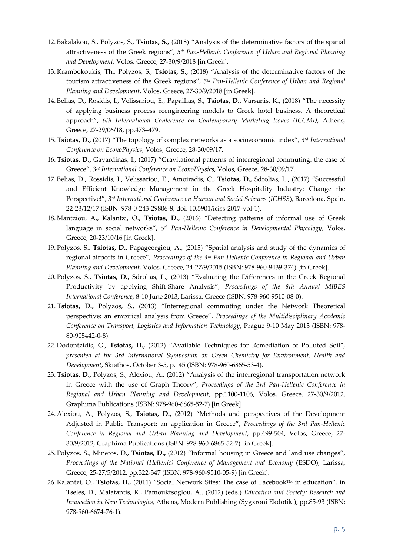- 12. Bakalakou, S., Polyzos, S., **Tsiotas, S.,** (2018) "Analysis of the determinative factors of the spatial attractiveness of the Greek regions", *5th Pan-Hellenic Conference of Urban and Regional Planning and Development*, Volos, Greece, 27-30/9/2018 [in Greek].
- 13. Krambokoukis, Th., Polyzos, S., **Tsiotas, S.,** (2018) "Analysis of the determinative factors of the tourism attractiveness of the Greek regions", *5th Pan-Hellenic Conference of Urban and Regional Planning and Development*, Volos, Greece, 27-30/9/2018 [in Greek].
- 14. Belias, D., Rosidis, I., Velissariou, E., PapaiIias, S., **Tsiotas, D.,** Varsanis, Κ., (2018) "The necessity of applying business process reengineering models to Greek hotel business. A theoretical approach", *6th International Conference on Contemporary Marketing Issues (ICCMI)*, Athens, Greece, 27-29/06/18, pp.473–479.
- 15. **Tsiotas, D.,** (2017) "The topology of complex networks as a socioeconomic index", *3rd International Conference on EconoPhysics*, Volos, Greece, 28-30/09/17.
- 16. **Tsiotas, D.,** Gavardinas, I., (2017) "Gravitational patterns of interregional commuting: the case of Greece", *3rd International Conference on EconoPhysics*, Volos, Greece, 28-30/09/17.
- 17. Belias, D., Rossidis, I., Velissariou, E., Amoiradis, C., **Tsiotas, D.,** Sdrolias, L., (2017) "Successful and Efficient Knowledge Management in the Greek Hospitality Industry: Change the Perspective!", *3rd International Conference on Human and Social Sciences* (*ICHSS*), Barcelona, Spain, 22-23/12/17 (ISBN: 978-0-243-29806-8, doi: 10.5901/iciss-2017-vol-1).
- 18. Mantziou, A., Kalantzi, O., **Tsiotas, D.,** (2016) "Detecting patterns of informal use of Greek language in social networks", *5th Pan-Hellenic Conference in Developmental Phycology*, Volos, Greece, 20-23/10/16 [in Greek].
- 19. Polyzos, S., **Tsiotas, D.,** Papageorgiou, A., (2015) "Spatial analysis and study of the dynamics of regional airports in Greece", *Proceedings of the 4th Pan-Hellenic Conference in Regional and Urban Planning and Development*, Volos, Greece, 24-27/9/2015 (ISBN: 978-960-9439-374) [in Greek].
- 20. Polyzos, S., **Tsiotas, D.,** Sdrolias, L., (2013) "Evaluating the Differences in the Greek Regional Productivity by applying Shift-Share Analysis", *Proceedings of the 8th Annual MIBES International Conference*, 8-10 June 2013, Larissa, Greece (ISBN: 978-960-9510-08-0).
- 21. **Tsiotas, D.,** Polyzos, S., (2013) "Interregional commuting under the Network Theoretical perspective: an empirical analysis from Greece", *Proceedings of the Multidisciplinary Academic Conference on Transport, Logistics and Information Technology*, Prague 9-10 May 2013 (ISBN: 978- 80-905442-0-8).
- 22. Dodontzidis, G., **Tsiotas, D.,** (2012) "Available Techniques for Remediation of Polluted Soil", *presented at the 3rd International Symposium on Green Chemistry for Environment, Health and Development*, Skiathos, October 3-5, p.145 (ISBN: 978-960-6865-53-4).
- 23. **Tsiotas, D.,** Polyzos, S., Alexiou, A., (2012) "Analysis of the interregional transportation network in Greece with the use of Graph Theory", *Proceedings of the 3rd Pan-Hellenic Conference in Regional and Urban Planning and Development*, pp.1100-1106, Volos, Greece, 27-30/9/2012, Graphima Publications (ISBN: 978-960-6865-52-7) [in Greek].
- 24. Alexiou, A., Polyzos, S., **Tsiotas, D.,** (2012) "Methods and perspectives of the Development Adjusted in Public Transport: an application in Greece", *Proceedings of the 3rd Pan-Hellenic Conference in Regional and Urban Planning and Development*, pp.499-504, Volos, Greece, 27- 30/9/2012, Graphima Publications (ISBN: 978-960-6865-52-7) [in Greek].
- 25. Polyzos, S., Minetos, D., **Tsiotas, D.,** (2012) "Informal housing in Greece and land use changes", *Proceedings of the National (Hellenic) Conference of Management and Economy* (ESDO), Larissa, Greece, 25-27/5/2012, pp.322-347 (ISBN: 978-960-9510-05-9) [in Greek].
- 26. Kalantzi, O., Tsiotas, D., (2011) "Social Network Sites: The case of Facebook™ in education", in Tseles, D., Malafantis, K., Pamouktsoglou, A., (2012) (eds.) *Education and Society: Research and Innovation in New Technologies*, Athens, Modern Publishing (Sygxroni Ekdotiki), pp.85-93 (ISBN: 978-960-6674-76-1).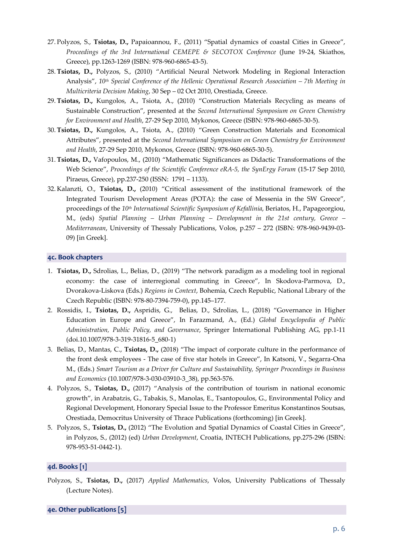- 27. Polyzos, S., **Tsiotas, D.,** Papaioannou, F., (2011) "Spatial dynamics of coastal Cities in Greece", *Proceedings of the 3rd International CEMEPE & SECOTOX Conference* (June 19-24, Skiathos, Greece), pp.1263-1269 (ISBN: 978-960-6865-43-5).
- 28. **Tsiotas, D.,** Polyzos, S., (2010) "Artificial Neural Network Modeling in Regional Interaction Analysis",  $10^{th}$  Special Conference of the Hellenic Operational Research Association – 7th Meeting in *Multicriteria Decision Making*, 30 Sep – 02 Oct 2010, Orestiada, Greece.
- 29. **Tsiotas, D.,** Kungolos, A., Tsiota, A., (2010) "Construction Materials Recycling as means of Sustainable Construction", presented at the *Second International Symposium on Green Chemistry for Environment and Health*, 27-29 Sep 2010, Mykonos, Greece (ISBN: 978-960-6865-30-5).
- 30. **Tsiotas, D.,** Kungolos, A., Tsiota, A., (2010) "Green Construction Materials and Economical Attributes", presented at the *Second International Symposium on Green Chemistry for Environment and Health*, 27-29 Sep 2010, Mykonos, Greece (ISBN: 978-960-6865-30-5).
- 31. **Tsiotas, D.,** Vafopoulos, M., (2010) "Mathematic Significances as Didactic Transformations of the Web Science", *Proceedings of the Scientific Conference eRA-5, the SynErgy Forum* (15-17 Sep 2010, Piraeus, Greece), pp.237-250 (ISSN: 1791 – 1133).
- 32. Kalanzti, O., **Tsiotas, D.,** (2010) "Critical assessment of the institutional framework of the Integrated Tourism Development Areas (POTA): the case of Messenia in the SW Greece", proceedings of the *10th International Scientific Symposium of Kefallinia*, Beriatos, H., Papageorgiou, M., (eds) *Spatial Planning – Urban Planning – Development in the 21st century, Greece – Mediterranean*, University of Thessaly Publications, Volos, p.257 – 272 (ISBN: 978-960-9439-03- 09) [in Greek].

#### **4c. Book chapters**

- 1. **Tsiotas, D.,** Sdrolias, L., Belias, D., (2019) "The network paradigm as a modeling tool in regional economy: the case of interregional commuting in Greece", In Skodova-Parmova, D., Dvorakova-Liskova (Eds.) *Regions in Context*, Bohemia, Czech Republic, National Library of the Czech Republic (ISBN: 978-80-7394-759-0), pp.145–177.
- 2. Rossidis, Ι., **Tsiotas, D.,** Aspridis, G., Belias, D., Sdrolias, L., (2018) "Governance in Higher Education in Europe and Greece", In Farazmand, A., (Ed.) *Global Encyclopedia of Public Administration, Public Policy, and Governance*, Springer International Publishing AG, pp.1-11 (doi.10.1007/978-3-319-31816-5\_680-1)
- 3. Belias, D., Mantas, C., **Tsiotas, D.,** (2018) "The impact of corporate culture in the performance of the front desk employees - The case of five star hotels in Greece", In Katsoni, V., Segarra-Ona M., (Eds.) *Smart Tourism as a Driver for Culture and Sustainability, Springer Proceedings in Business and Economics* (10.1007/978-3-030-03910-3\_38), pp.563-576.
- 4. Polyzos, S., **Tsiotas, D.,** (2017) "Analysis of the contribution of tourism in national economic growth", in Arabatzis, G., Tabakis, S., Manolas, E., Tsantopoulos, G., Environmental Policy and Regional Development, Honorary Special Issue to the Professor Emeritus Konstantinos Soutsas, Orestiada, Democritus University of Thrace Publications (forthcoming) [in Greek].
- 5. Polyzos, S., **Tsiotas, D.,** (2012) "The Evolution and Spatial Dynamics of Coastal Cities in Greece", in Polyzos, S., (2012) (ed) *Urban Development*, Croatia, INTECH Publications, pp.275-296 (ISBN: 978-953-51-0442-1).

## **4d. Books [1]**

Polyzos, S., **Tsiotas, D.,** (2017) *Applied Mathematics*, Volos, University Publications of Thessaly (Lecture Notes).

**4e. Other publications [5]**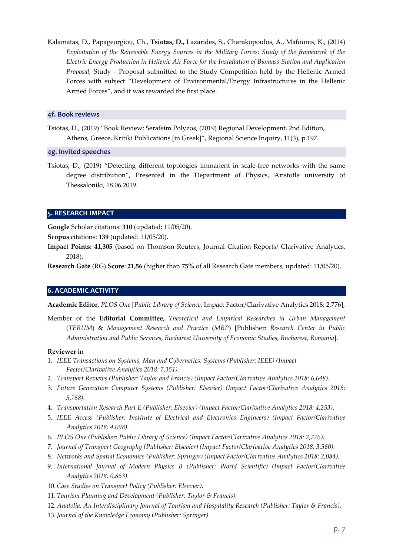Kalamatas, D., Papageorgiou, Ch., **Tsiotas, D.,** Lazarides, S., Charakopoulos, A., Mafounis, K., (2014) *Exploitation of the Renewable Energy Sources in the Military Forces: Study of the framework of the Electric Energy Production in Hellenic Air Force for the Installation of Biomass Station and Application Proposal*, Study - Proposal submitted to the Study Competition held by the Hellenic Armed Forces with subject "Development of Environmental/Energy Infrastructures in the Hellenic Armed Forces", and it was rewarded the first place.

### **4f. Book reviews**

Tsiotas, D., (2019) "Book Review: Serafeim Polyzos, (2019) Regional Development, 2nd Edition, Athens, Greece, Kritiki Publications [in Greek]", Regional Science Inquiry, 11(3), p.197.

### **4g. Invited speeches**

Tsiotas, D., (2019) "Detecting different topologies immanent in scale-free networks with the same degree distribution", Presented in the Department of Physics, Aristotle university of Thessaloniki, 18.06.2019.

### **5. RESEARCH IMPACT**

**Google** Scholar citations: **310** (updated: 11/05/20).

**Scopus** citations: **139** (updated: 11/05/20).

**Impact Points: 41,305** (based on Thomson Reuters, Journal Citation Reports/ Clarivative Analytics, 2018).

**Research Gate** (RG) **Score**: **21,56** (higher than **75%** of all Research Gate members, updated: 11/05/20).

### **6. ACADEMIC ACTIVITY**

**Academic Editor,** *PLOS One* [*Public Library of Science*, Impact Factor/Clarivative Analytics 2018: 2,776],

Member of the **Editorial Committee,** *Theoretical and Empirical Researches in Urban Management*  (*TERUM*) & *Management Research and Practice* (*MRP*) [Publisher: *Research Center in Public Administration and Public Services, Bucharest University of Economic Studies, Bucharest, Romania*].

#### **Reviewer** in

- 1. *IEEE Transactions on Systems, Man and Cybernetics: Systems (Publisher: IEEE) (Impact Factor/Clarivative Analytics 2018: 7,351).*
- 2. *Transport Reviews (Publisher: Taylor and Francis) (Impact Factor/Clarivative Analytics 2018: 6,648).*
- 3. *Future Generation Computer Systems (Publisher: Elsevier) (Impact Factor/Clarivative Analytics 2018: 5,768).*
- 4. *Transportation Research Part E (Publisher: Elsevier) (Impact Factor/Clarivative Analytics 2018: 4,253).*
- 5. *IEEE Access (Publisher: Institute of Electrical and Electronics Engineers) (Impact Factor/Clarivative Analytics 2018: 4,098).*
- 6. *PLOS One (Publisher: Public Library of Science) (Impact Factor/Clarivative Analytics 2018: 2,776).*
- 7. *Journal of Transport Geography (Publisher: Elsevier) (Impact Factor/Clarivative Analytics 2018: 3,560).*
- 8. *Networks and Spatial Economics (Publisher: Springer) (Impact Factor/Clarivative Analytics 2018: 2,084).*
- 9. *International Journal of Modern Physics B (Publisher: World Scientific) (Impact Factor/Clarivative Analytics 2018: 0,863).*
- 10. *Case Studies on Transport Policy (Publisher: Elsevier).*
- 11. *Tourism Planning and Development (Publisher: Taylor & Francis).*
- 12. *Anatolia: An Interdisciplinary Journal of Tourism and Hospitality Research (Publisher: Taylor & Francis).*
- 13. *Journal of the Knowledge Economy (Publisher: Springer)*